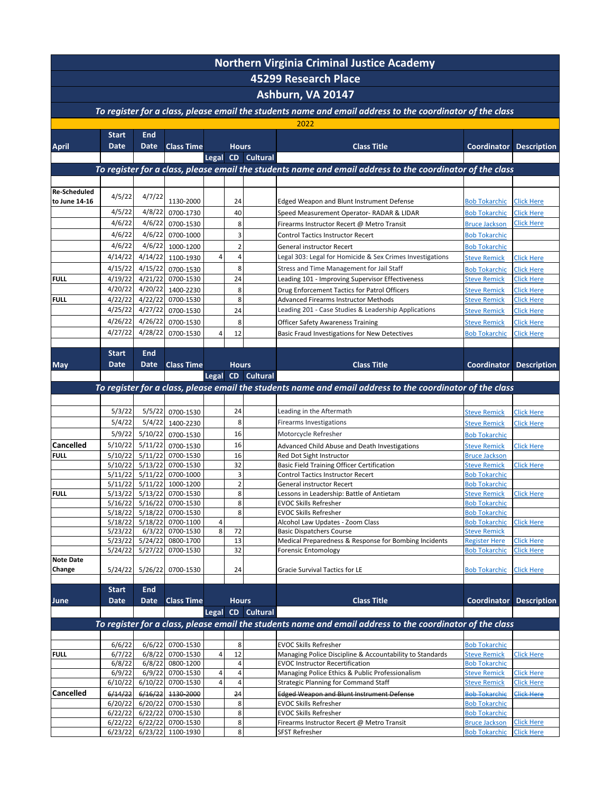| <b>Northern Virginia Criminal Justice Academy</b><br>45299 Research Place                                 |                             |                    |                                        |            |                |                   |                                                                                                           |                                              |                                        |  |                   |  |
|-----------------------------------------------------------------------------------------------------------|-----------------------------|--------------------|----------------------------------------|------------|----------------|-------------------|-----------------------------------------------------------------------------------------------------------|----------------------------------------------|----------------------------------------|--|-------------------|--|
|                                                                                                           |                             |                    |                                        |            |                |                   |                                                                                                           |                                              |                                        |  | Ashburn, VA 20147 |  |
| To register for a class, please email the students name and email address to the coordinator of the class |                             |                    |                                        |            |                |                   |                                                                                                           |                                              |                                        |  |                   |  |
|                                                                                                           |                             |                    |                                        |            |                |                   | 2022                                                                                                      |                                              |                                        |  |                   |  |
| <b>April</b>                                                                                              | <b>Start</b><br><b>Date</b> | <b>End</b><br>Date | <b>Class Time</b>                      |            | <b>Hours</b>   |                   | <b>Class Title</b>                                                                                        | <b>Coordinator</b>                           | <b>Description</b>                     |  |                   |  |
|                                                                                                           |                             |                    |                                        |            |                | Legal CD Cultural |                                                                                                           |                                              |                                        |  |                   |  |
| To register for a class, please email the students name and email address to the coordinator of the class |                             |                    |                                        |            |                |                   |                                                                                                           |                                              |                                        |  |                   |  |
|                                                                                                           |                             |                    |                                        |            |                |                   |                                                                                                           |                                              |                                        |  |                   |  |
| <b>Re-Scheduled</b><br>to June 14-16                                                                      | 4/5/22                      | 4/7/22             | 1130-2000                              |            | 24             |                   | <b>Edged Weapon and Blunt Instrument Defense</b>                                                          | <b>Bob Tokarchic</b>                         | <b>Click Here</b>                      |  |                   |  |
|                                                                                                           | 4/5/22                      | 4/8/22             | 0700-1730                              |            | 40             |                   | Speed Measurement Operator- RADAR & LIDAR                                                                 | <b>Bob Tokarchic</b>                         | <b>Click Here</b>                      |  |                   |  |
|                                                                                                           | 4/6/22                      | 4/6/22             | 0700-1530                              |            | 8              |                   | Firearms Instructor Recert @ Metro Transit                                                                | <b>Bruce Jackson</b>                         | <b>Click Here</b>                      |  |                   |  |
|                                                                                                           | 4/6/22                      | 4/6/22             | 0700-1000                              |            | $\overline{3}$ |                   | <b>Control Tactics Instructor Recert</b>                                                                  | <b>Bob Tokarchic</b>                         |                                        |  |                   |  |
|                                                                                                           | 4/6/22                      | 4/6/22             | 1000-1200                              |            | $\overline{2}$ |                   | General instructor Recert                                                                                 | <b>Bob Tokarchic</b>                         |                                        |  |                   |  |
|                                                                                                           | 4/14/22                     | 4/14/22            | 1100-1930                              | 4          | $\overline{4}$ |                   | Legal 303: Legal for Homicide & Sex Crimes Investigations                                                 | <b>Steve Remick</b>                          | <b>Click Here</b>                      |  |                   |  |
|                                                                                                           | 4/15/22                     | 4/15/22            | 0700-1530                              |            | 8              |                   | Stress and Time Management for Jail Staff                                                                 | <b>Bob Tokarchic</b>                         | <b>Click Here</b>                      |  |                   |  |
| <b>FULL</b>                                                                                               | 4/19/22<br>4/20/22          | 4/21/22            | 0700-1530<br>4/20/22 1400-2230         |            | 24<br>8        |                   | Leading 101 - Improving Supervisor Effectiveness                                                          | <b>Steve Remick</b>                          | Click Here<br><b>Click Here</b>        |  |                   |  |
| <b>FULL</b>                                                                                               | 4/22/22                     | 4/22/22            | 0700-1530                              |            | 8              |                   | Drug Enforcement Tactics for Patrol Officers<br><b>Advanced Firearms Instructor Methods</b>               | <b>Steve Remick</b><br><b>Steve Remick</b>   | <b>Click Here</b>                      |  |                   |  |
|                                                                                                           | 4/25/22                     | 4/27/22            | 0700-1530                              |            | 24             |                   | Leading 201 - Case Studies & Leadership Applications                                                      | <b>Steve Remick</b>                          | <b>Click Here</b>                      |  |                   |  |
|                                                                                                           | 4/26/22                     | 4/26/22            | 0700-1530                              |            | 8              |                   | Officer Safety Awareness Training                                                                         | <b>Steve Remick</b>                          | <b>Click Here</b>                      |  |                   |  |
|                                                                                                           | 4/27/22                     | 4/28/22            | 0700-1530                              | 4          | 12             |                   | Basic Fraud Investigations for New Detectives                                                             | <b>Bob Tokarchic</b>                         | <b>Click Here</b>                      |  |                   |  |
|                                                                                                           |                             |                    |                                        |            |                |                   |                                                                                                           |                                              |                                        |  |                   |  |
|                                                                                                           | <b>Start</b>                | <b>End</b>         |                                        |            |                |                   |                                                                                                           |                                              |                                        |  |                   |  |
| <b>May</b>                                                                                                | <b>Date</b>                 | <b>Date</b>        | <b>Class Time</b>                      |            | <b>Hours</b>   | Legal CD Cultural | <b>Class Title</b>                                                                                        | <b>Coordinator</b>                           | <b>Description</b>                     |  |                   |  |
|                                                                                                           |                             |                    |                                        |            |                |                   | To register for a class, please email the students name and email address to the coordinator of the class |                                              |                                        |  |                   |  |
|                                                                                                           |                             |                    |                                        |            |                |                   |                                                                                                           |                                              |                                        |  |                   |  |
|                                                                                                           | 5/3/22                      | 5/5/22             | 0700-1530                              |            | 24             |                   | Leading in the Aftermath                                                                                  | <b>Steve Remick</b>                          | <b>Click Here</b>                      |  |                   |  |
|                                                                                                           | 5/4/22                      | 5/4/22             | 1400-2230                              |            | 8              |                   | <b>Firearms Investigations</b>                                                                            | <b>Steve Remick</b>                          | <b>Click Here</b>                      |  |                   |  |
|                                                                                                           | 5/9/22                      | 5/10/22            | 0700-1530                              |            | 16             |                   | Motorcycle Refresher                                                                                      | <b>Bob Tokarchic</b>                         |                                        |  |                   |  |
| Cancelled                                                                                                 | 5/10/22                     | 5/11/22            | 0700-1530                              |            | 16             |                   | Advanced Child Abuse and Death Investigations                                                             | <b>Steve Remick</b>                          | <b>Click Here</b>                      |  |                   |  |
| <b>FULL</b>                                                                                               | 5/10/22                     | 5/11/22            | 0700-1530                              |            | 16             |                   | Red Dot Sight Instructor                                                                                  | <b>Bruce Jackson</b>                         |                                        |  |                   |  |
|                                                                                                           | 5/10/22<br>5/11/22          | 5/13/22<br>5/11/22 | 0700-1530<br>0700-1000                 |            | 32<br>3        |                   | Basic Field Training Officer Certification<br><b>Control Tactics Instructor Recert</b>                    | <b>Steve Remick</b><br><b>Bob Tokarchic</b>  | <b>Click Here</b>                      |  |                   |  |
|                                                                                                           | 5/11/22                     | 5/11/22            | 1000-1200                              |            | $\overline{2}$ |                   | General instructor Recert                                                                                 | <b>Bob Tokarchic</b>                         |                                        |  |                   |  |
| <b>FULL</b>                                                                                               | 5/13/22                     | 5/13/22            | 0700-1530                              |            | 8              |                   | Lessons in Leadership: Battle of Antietam                                                                 | <b>Steve Remick</b>                          | <b>Click Here</b>                      |  |                   |  |
|                                                                                                           |                             | 5/18/22 5/18/22    | 5/16/22 5/16/22 0700-1530<br>0700-1530 |            | 8<br>8         |                   | <b>EVOC Skills Refresher</b><br><b>EVOC Skills Refresher</b>                                              | <b>Bob Tokarchic</b><br><b>Bob Tokarchic</b> |                                        |  |                   |  |
|                                                                                                           | 5/18/22                     | 5/18/22            | 0700-1100                              | 4          |                |                   | Alcohol Law Updates - Zoom Class                                                                          | <b>Bob Tokarchic</b>                         | <b>Click Here</b>                      |  |                   |  |
|                                                                                                           | 5/23/22                     |                    | 6/3/22 0700-1530                       | 8          | 72             |                   | <b>Basic Dispatchers Course</b>                                                                           | <b>Steve Remick</b>                          |                                        |  |                   |  |
|                                                                                                           | 5/23/22<br>5/24/22          | 5/24/22<br>5/27/22 | 0800-1700<br>0700-1530                 |            | 13<br>32       |                   | Medical Preparedness & Response for Bombing Incidents<br><b>Forensic Entomology</b>                       | <b>Register Here</b><br><b>Bob Tokarchic</b> | <b>Click Here</b><br><b>Click Here</b> |  |                   |  |
| <b>Note Date</b>                                                                                          |                             |                    |                                        |            |                |                   |                                                                                                           |                                              |                                        |  |                   |  |
| Change                                                                                                    | 5/24/22                     | 5/26/22            | 0700-1530                              |            | 24             |                   | Gracie Survival Tactics for LE                                                                            | <b>Bob Tokarchic</b>                         | <b>Click Here</b>                      |  |                   |  |
|                                                                                                           |                             |                    |                                        |            |                |                   |                                                                                                           |                                              |                                        |  |                   |  |
|                                                                                                           | <b>Start</b><br><b>Date</b> | <b>End</b>         |                                        |            | <b>Hours</b>   |                   | <b>Class Title</b>                                                                                        |                                              |                                        |  |                   |  |
| June                                                                                                      |                             | <b>Date</b>        | <b>Class Time</b>                      |            |                | Legal CD Cultural |                                                                                                           | Coordinator                                  | <b>Description</b>                     |  |                   |  |
|                                                                                                           |                             |                    |                                        |            |                |                   | To register for a class, please email the students name and email address to the coordinator of the class |                                              |                                        |  |                   |  |
|                                                                                                           |                             |                    |                                        |            |                |                   |                                                                                                           |                                              |                                        |  |                   |  |
|                                                                                                           | 6/6/22                      | 6/6/22             | 0700-1530                              |            | 8              |                   | <b>EVOC Skills Refresher</b>                                                                              | <b>Bob Tokarchic</b>                         |                                        |  |                   |  |
| <b>FULL</b>                                                                                               | 6/7/22                      | 6/8/22             | 0700-1530                              | 4          | 12             |                   | Managing Police Discipline & Accountability to Standards                                                  | <b>Steve Remick</b>                          | Click Here                             |  |                   |  |
|                                                                                                           | 6/8/22<br>6/9/22            |                    | 6/8/22 0800-1200<br>6/9/22 0700-1530   | 4          | $\overline{4}$ |                   | <b>EVOC Instructor Recertification</b><br>Managing Police Ethics & Public Professionalism                 | <b>Bob Tokarchic</b><br><b>Steve Remick</b>  | <b>Click Here</b>                      |  |                   |  |
|                                                                                                           | 6/10/22                     | 6/10/22            | 0700-1530                              | $\sqrt{4}$ | 4              |                   | <b>Strategic Planning for Command Staff</b>                                                               | <b>Steve Remick</b>                          | Click Here                             |  |                   |  |
| Cancelled                                                                                                 | 6/14/22                     | 6/16/22            | 1130 2000                              |            | 24             |                   | <b>Edged Weapon and Blunt Instrument Defense</b>                                                          | <b>Bob Tokarchie</b>                         | Click Here                             |  |                   |  |
|                                                                                                           | 6/20/22                     | 6/20/22            | 0700-1530                              |            | 8              |                   | <b>EVOC Skills Refresher</b>                                                                              | <b>Bob Tokarchic</b>                         |                                        |  |                   |  |
|                                                                                                           | 6/22/22<br>6/22/22          | 6/22/22<br>6/22/22 | 0700-1530<br>0700-1530                 |            | 8<br>8         |                   | <b>EVOC Skills Refresher</b><br>Firearms Instructor Recert @ Metro Transit                                | <b>Bob Tokarchic</b><br><b>Bruce Jackson</b> | <b>Click Here</b>                      |  |                   |  |
|                                                                                                           | 6/23/22                     |                    | 6/23/22 1100-1930                      |            | 8              |                   | <b>SFST Refresher</b>                                                                                     | <b>Bob Tokarchic</b>                         | <b>Click Here</b>                      |  |                   |  |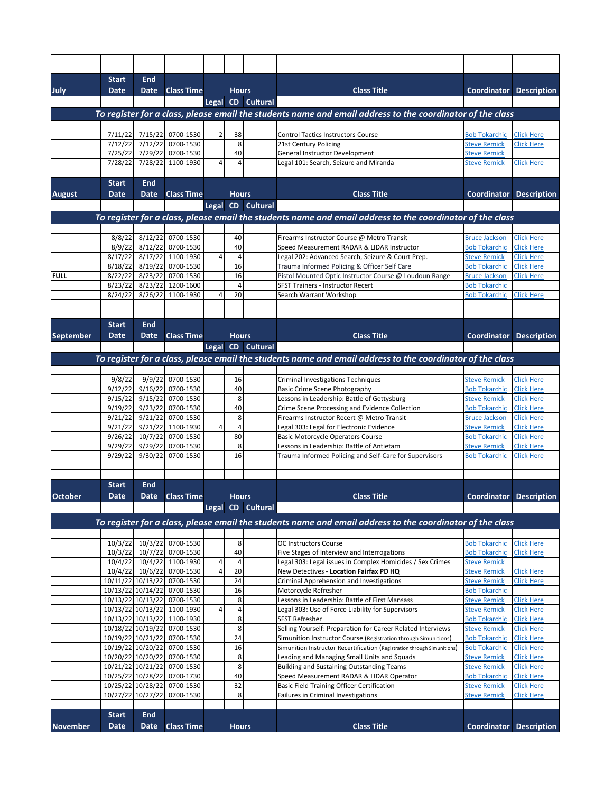|                  | <b>Start</b> | <b>End</b>  |                                                            |                |                      |                   |                                                                                                           |                                              |                                        |
|------------------|--------------|-------------|------------------------------------------------------------|----------------|----------------------|-------------------|-----------------------------------------------------------------------------------------------------------|----------------------------------------------|----------------------------------------|
| July             | <b>Date</b>  | <b>Date</b> | <b>Class Time</b>                                          |                | <b>Hours</b>         |                   | <b>Class Title</b>                                                                                        | <b>Coordinator</b>                           | <b>Description</b>                     |
|                  |              |             |                                                            |                |                      | Legal CD Cultural |                                                                                                           |                                              |                                        |
|                  |              |             |                                                            |                |                      |                   | To register for a class, please email the students name and email address to the coordinator of the class |                                              |                                        |
|                  |              |             |                                                            |                |                      |                   |                                                                                                           |                                              |                                        |
|                  | 7/11/22      |             | 7/15/22 0700-1530                                          | $\overline{2}$ | 38                   |                   | <b>Control Tactics Instructors Course</b>                                                                 | <b>Bob Tokarchic</b>                         | Click Here                             |
|                  |              |             | 7/12/22 7/12/22 0700-1530                                  |                | 8                    |                   | 21st Century Policing                                                                                     | <b>Steve Remick</b>                          | <b>Click Here</b>                      |
|                  |              |             | 7/25/22 7/29/22 0700-1530                                  |                | 40                   |                   | General Instructor Development                                                                            | <b>Steve Remick</b>                          |                                        |
|                  | 7/28/22      |             | 7/28/22 1100-1930                                          | 4              | 4                    |                   | Legal 101: Search, Seizure and Miranda                                                                    | <b>Steve Remick</b>                          | <b>Click Here</b>                      |
|                  |              |             |                                                            |                |                      |                   |                                                                                                           |                                              |                                        |
|                  | <b>Start</b> | <b>End</b>  |                                                            |                |                      |                   |                                                                                                           |                                              |                                        |
| <b>August</b>    | Date         | Date        | <b>Class Time</b>                                          |                | <b>Hours</b>         |                   | <b>Class Title</b>                                                                                        | <b>Coordinator Description</b>               |                                        |
|                  |              |             |                                                            |                |                      | Legal CD Cultural |                                                                                                           |                                              |                                        |
|                  |              |             |                                                            |                |                      |                   | To register for a class, please email the students name and email address to the coordinator of the class |                                              |                                        |
|                  |              |             |                                                            |                |                      |                   |                                                                                                           |                                              |                                        |
|                  | 8/8/22       |             | 8/12/22 0700-1530                                          |                | 40                   |                   | Firearms Instructor Course @ Metro Transit                                                                | <b>Bruce Jackson</b>                         | <b>Click Here</b>                      |
|                  |              |             | 8/9/22 8/12/22 0700-1530                                   |                | 40                   |                   | Speed Measurement RADAR & LIDAR Instructor                                                                | <b>Bob Tokarchic</b>                         | <b>Click Here</b>                      |
|                  | 8/17/22      |             | 8/17/22 1100-1930                                          | 4              | $\overline{4}$       |                   | Legal 202: Advanced Search, Seizure & Court Prep.                                                         | <b>Steve Remick</b>                          | <b>Click Here</b>                      |
|                  | 8/18/22      |             | 8/19/22 0700-1530                                          |                | 16                   |                   | Trauma Informed Policing & Officer Self Care                                                              | <b>Bob Tokarchic</b>                         | <b>Click Here</b>                      |
| <b>FULL</b>      | 8/23/22      |             | 8/22/22 8/23/22 0700-1530<br>8/23/22 1200-1600             |                | 16<br>$\overline{4}$ |                   | Pistol Mounted Optic Instructor Course @ Loudoun Range                                                    | <b>Bruce Jackson</b><br><b>Bob Tokarchic</b> | <b>Click Here</b>                      |
|                  | 8/24/22      |             | 8/26/22 1100-1930                                          | 4              | 20                   |                   | SFST Trainers - Instructor Recert<br>Search Warrant Workshop                                              | <b>Bob Tokarchic</b>                         | <b>Click Here</b>                      |
|                  |              |             |                                                            |                |                      |                   |                                                                                                           |                                              |                                        |
|                  |              |             |                                                            |                |                      |                   |                                                                                                           |                                              |                                        |
|                  | <b>Start</b> | End         |                                                            |                |                      |                   |                                                                                                           |                                              |                                        |
| <b>September</b> | <b>Date</b>  | <b>Date</b> | <b>Class Time</b>                                          |                | <b>Hours</b>         |                   | <b>Class Title</b>                                                                                        | <b>Coordinator</b>                           | <b>Description</b>                     |
|                  |              |             |                                                            |                |                      | Legal CD Cultural |                                                                                                           |                                              |                                        |
|                  |              |             |                                                            |                |                      |                   |                                                                                                           |                                              |                                        |
|                  |              |             |                                                            |                |                      |                   | To register for a class, please email the students name and email address to the coordinator of the class |                                              |                                        |
|                  |              |             |                                                            |                |                      |                   |                                                                                                           |                                              |                                        |
|                  | 9/8/22       |             | 9/9/22 0700-1530<br>9/12/22 9/16/22 0700-1530              |                | 16<br>40             |                   | <b>Criminal Investigations Techniques</b><br>Basic Crime Scene Photography                                | <b>Steve Remick</b><br><b>Bob Tokarchic</b>  | <b>Click Here</b><br><b>Click Here</b> |
|                  |              |             | 9/15/22 9/15/22 0700-1530                                  |                | 8                    |                   | Lessons in Leadership: Battle of Gettysburg                                                               | <b>Steve Remick</b>                          | <b>Click Here</b>                      |
|                  |              |             | 9/19/22 9/23/22 0700-1530                                  |                | 40                   |                   | Crime Scene Processing and Evidence Collection                                                            | <b>Bob Tokarchic</b>                         | <b>Click Here</b>                      |
|                  | 9/21/22      |             | 9/21/22 0700-1530                                          |                | 8                    |                   | Firearms Instructor Recert @ Metro Transit                                                                | <b>Bruce Jackson</b>                         | <b>Click Here</b>                      |
|                  |              |             | 9/21/22 9/21/22 1100-1930                                  | 4              | $\overline{4}$       |                   | Legal 303: Legal for Electronic Evidence                                                                  | <b>Steve Remick</b>                          | <b>Click Here</b>                      |
|                  | 9/26/22      |             | 10/7/22 0700-1530                                          |                | 80                   |                   | <b>Basic Motorcycle Operators Course</b>                                                                  | <b>Bob Tokarchic</b>                         | <b>Click Here</b>                      |
|                  | 9/29/22      |             | 9/29/22 0700-1530                                          |                | 8                    |                   | Lessons in Leadership: Battle of Antietam                                                                 | <b>Steve Remick</b>                          | <b>Click Here</b>                      |
|                  | 9/29/22      | 9/30/22     | 0700-1530                                                  |                | 16                   |                   | Trauma Informed Policing and Self-Care for Supervisors                                                    | <b>Bob Tokarchic</b>                         | <b>Click Here</b>                      |
|                  |              |             |                                                            |                |                      |                   |                                                                                                           |                                              |                                        |
|                  |              |             |                                                            |                |                      |                   |                                                                                                           |                                              |                                        |
|                  | <b>Start</b> | <b>End</b>  |                                                            |                |                      |                   |                                                                                                           |                                              |                                        |
| October          | Date         | Date        | <b>Class Time</b>                                          |                | <b>Hours</b>         |                   | <b>Class Title</b>                                                                                        | <b>Coordinator Description</b>               |                                        |
|                  |              |             |                                                            |                |                      | Legal CD Cultural |                                                                                                           |                                              |                                        |
|                  |              |             |                                                            |                |                      |                   | To register for a class, please email the students name and email address to the coordinator of the class |                                              |                                        |
|                  |              |             |                                                            |                |                      |                   |                                                                                                           |                                              |                                        |
|                  | 10/3/22      |             | 10/3/22 0700-1530                                          |                | 8                    |                   | OC Instructors Course                                                                                     | <b>Bob Tokarchic</b>                         | <b>Click Here</b>                      |
|                  |              |             | 10/3/22 10/7/22 0700-1530                                  |                | 40                   |                   | Five Stages of Interview and Interrogations                                                               | <b>Bob Tokarchic</b>                         | <b>Click Here</b>                      |
|                  |              |             | 10/4/22 10/4/22 1100-1930                                  | $\pmb{4}$      | $\overline{4}$       |                   | Legal 303: Legal issues in Complex Homicides / Sex Crimes                                                 | <b>Steve Remick</b>                          |                                        |
|                  |              |             | 10/4/22 10/6/22 0700-1530                                  | $\sqrt{4}$     | 20                   |                   | New Detectives - Location Fairfax PD HQ                                                                   | <b>Steve Remick</b>                          | <b>Click Here</b>                      |
|                  |              |             | 10/11/22 10/13/22 0700-1530<br>10/13/22 10/14/22 0700-1530 |                | 24<br>16             |                   | Criminal Apprehension and Investigations<br>Motorcycle Refresher                                          | <b>Steve Remick</b>                          | <b>Click Here</b>                      |
|                  |              |             | 10/13/22 10/13/22 0700-1530                                |                | 8                    |                   | Lessons in Leadership: Battle of First Mansass                                                            | <b>Bob Tokarchic</b><br><b>Steve Remick</b>  | <b>Click Here</b>                      |
|                  |              |             | 10/13/22 10/13/22 1100-1930                                | 4              | $\overline{4}$       |                   | Legal 303: Use of Force Liability for Supervisors                                                         | <b>Steve Remick</b>                          | <b>Click Here</b>                      |
|                  |              |             | 10/13/22 10/13/22 1100-1930                                |                | 8                    |                   | <b>SFST Refresher</b>                                                                                     | <b>Bob Tokarchic</b>                         | <b>Click Here</b>                      |
|                  |              |             | 10/18/22 10/19/22 0700-1530                                |                | 8                    |                   | Selling Yourself: Preparation for Career Related Interviews                                               | <b>Steve Remick</b>                          | <b>Click Here</b>                      |
|                  |              |             | 10/19/22 10/21/22 0700-1530                                |                | 24                   |                   | Simunition Instructor Course (Registration through Simunitions)                                           | <b>Bob Tokarchic</b>                         | <b>Click Here</b>                      |
|                  |              |             | 10/19/22 10/20/22 0700-1530                                |                | 16                   |                   | Simunition Instructor Recertification (Registration through Simunitions)                                  | <b>Bob Tokarchic</b>                         | <b>Click Here</b>                      |
|                  |              |             | 10/20/22 10/20/22 0700-1530                                |                | 8                    |                   | Leading and Managing Small Units and Squads                                                               | <b>Steve Remick</b>                          | <b>Click Here</b>                      |
|                  |              |             | 10/21/22 10/21/22 0700-1530                                |                | 8                    |                   | <b>Building and Sustaining Outstanding Teams</b>                                                          | <b>Steve Remick</b>                          | <b>Click Here</b>                      |
|                  |              |             | 10/25/22 10/28/22 0700-1730                                |                | 40                   |                   | Speed Measurement RADAR & LIDAR Operator                                                                  | <b>Bob Tokarchic</b>                         | <b>Click Here</b>                      |
|                  |              |             | 10/25/22 10/28/22 0700-1530<br>10/27/22 10/27/22 0700-1530 |                | 32<br>8              |                   | Basic Field Training Officer Certification                                                                | <b>Steve Remick</b>                          | <b>Click Here</b>                      |
|                  |              |             |                                                            |                |                      |                   | Failures in Criminal Investigations                                                                       | <b>Steve Remick</b>                          | <b>Click Here</b>                      |
|                  | <b>Start</b> | <b>End</b>  |                                                            |                |                      |                   |                                                                                                           |                                              |                                        |
|                  |              |             |                                                            |                |                      |                   |                                                                                                           |                                              |                                        |
| <b>November</b>  | <b>Date</b>  | <b>Date</b> | <b>Class Time</b>                                          |                | <b>Hours</b>         |                   | <b>Class Title</b>                                                                                        | <b>Coordinator Description</b>               |                                        |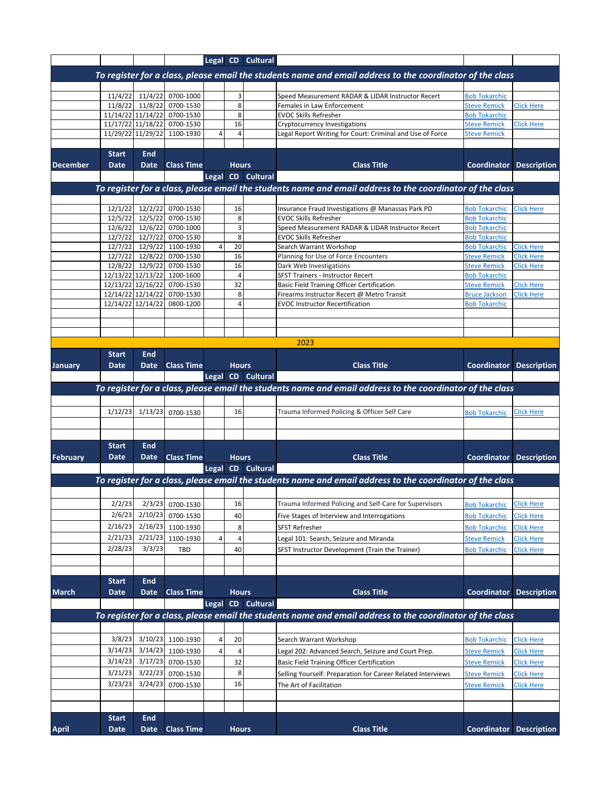|                 |                    |                   |                                                            |                |                      | Legal CD Cultural |                                                                                                                  |                                              |                                        |
|-----------------|--------------------|-------------------|------------------------------------------------------------|----------------|----------------------|-------------------|------------------------------------------------------------------------------------------------------------------|----------------------------------------------|----------------------------------------|
|                 |                    |                   |                                                            |                |                      |                   | To register for a class, please email the students name and email address to the coordinator of the class        |                                              |                                        |
|                 |                    |                   |                                                            |                |                      |                   |                                                                                                                  |                                              |                                        |
|                 | 11/4/22            | 11/4/22           | 0700-1000                                                  |                | 3                    |                   | Speed Measurement RADAR & LIDAR Instructor Recert                                                                | <b>Bob Tokarchic</b>                         |                                        |
|                 |                    | 11/8/22 11/8/22   | 0700-1530<br>11/14/22 11/14/22 0700-1530                   |                | 8<br>8               |                   | Females in Law Enforcement<br><b>EVOC Skills Refresher</b>                                                       | <b>Steve Remick</b><br><b>Bob Tokarchic</b>  | <b>Click Here</b>                      |
|                 |                    | 11/17/22 11/18/22 | 0700-1530                                                  |                | 16                   |                   | Cryptocurrency Investigations                                                                                    | <b>Steve Remick</b>                          | <b>Click Here</b>                      |
|                 |                    | 11/29/22 11/29/22 | 1100-1930                                                  | 4              | $\overline{4}$       |                   | Legal Report Writing for Court: Criminal and Use of Force                                                        | <b>Steve Remick</b>                          |                                        |
|                 |                    |                   |                                                            |                |                      |                   |                                                                                                                  |                                              |                                        |
|                 | <b>Start</b>       | <b>End</b>        |                                                            |                |                      |                   |                                                                                                                  |                                              |                                        |
| <b>December</b> | Date               | <b>Date</b>       | <b>Class Time</b>                                          |                | <b>Hours</b>         |                   | <b>Class Title</b>                                                                                               | Coordinator                                  | <b>Description</b>                     |
|                 |                    |                   |                                                            |                |                      | Legal CD Cultural | To register for a class, please email the students name and email address to the coordinator of the class        |                                              |                                        |
|                 |                    |                   |                                                            |                |                      |                   |                                                                                                                  |                                              |                                        |
|                 | 12/1/22            | 12/2/22           | 0700-1530                                                  |                | 16                   |                   | Insurance Fraud Investigations @ Manassas Park PD                                                                | <b>Bob Tokarchic</b>                         | <b>Click Here</b>                      |
|                 | 12/5/22            | 12/5/22           | 0700-1530                                                  |                | 8                    |                   | <b>EVOC Skills Refresher</b>                                                                                     | <b>Bob Tokarchic</b>                         |                                        |
|                 | 12/6/22            |                   | 12/6/22 0700-1000                                          |                | 3<br>8               |                   | Speed Measurement RADAR & LIDAR Instructor Recert                                                                | <b>Bob Tokarchic</b>                         |                                        |
|                 | 12/7/22<br>12/7/22 | 12/7/22           | 0700-1530<br>12/9/22 1100-1930                             | $\overline{4}$ | 20                   |                   | <b>EVOC Skills Refresher</b><br>Search Warrant Workshop                                                          | <b>Bob Tokarchic</b><br><b>Bob Tokarchic</b> | <b>Click Here</b>                      |
|                 | 12/7/22            |                   | 12/8/22 0700-1530                                          |                | 16                   |                   | Planning for Use of Force Encounters                                                                             | <b>Steve Remick</b>                          | <b>Click Here</b>                      |
|                 |                    |                   | 12/8/22 12/9/22 0700-1530                                  |                | 16                   |                   | Dark Web Investigations                                                                                          | <b>Steve Remick</b>                          | <b>Click Here</b>                      |
|                 |                    |                   | 12/13/22 12/13/22 1200-1600<br>12/13/22 12/16/22 0700-1530 |                | $\overline{4}$<br>32 |                   | <b>SFST Trainers - Instructor Recert</b>                                                                         | <b>Bob Tokarchic</b>                         | <b>Click Here</b>                      |
|                 |                    | 12/14/22 12/14/22 | 0700-1530                                                  |                | 8                    |                   | Basic Field Training Officer Certification<br>Firearms Instructor Recert @ Metro Transit                         | <b>Steve Remick</b><br><b>Bruce Jackson</b>  | <b>Click Here</b>                      |
|                 |                    | 12/14/22 12/14/22 | 0800-1200                                                  |                | $\overline{4}$       |                   | <b>EVOC Instructor Recertification</b>                                                                           | <b>Bob Tokarchic</b>                         |                                        |
|                 |                    |                   |                                                            |                |                      |                   |                                                                                                                  |                                              |                                        |
|                 |                    |                   |                                                            |                |                      |                   |                                                                                                                  |                                              |                                        |
|                 |                    |                   |                                                            |                |                      |                   | 2023                                                                                                             |                                              |                                        |
|                 | <b>Start</b>       | <b>End</b>        |                                                            |                |                      |                   |                                                                                                                  |                                              |                                        |
| January         | Date               | <b>Date</b>       | <b>Class Time</b>                                          |                | <b>Hours</b>         |                   | <b>Class Title</b>                                                                                               | <b>Coordinator</b>                           | <b>Description</b>                     |
|                 |                    |                   |                                                            |                |                      | Legal CD Cultural |                                                                                                                  |                                              |                                        |
|                 |                    |                   |                                                            |                |                      |                   | To register for a class, please email the students name and email address to the coordinator of the class        |                                              |                                        |
|                 |                    |                   |                                                            |                |                      |                   |                                                                                                                  |                                              |                                        |
|                 | 1/12/23            | 1/13/23           | 0700-1530                                                  |                | 16                   |                   | Trauma Informed Policing & Officer Self Care                                                                     | <b>Bob Tokarchic</b>                         | Click Here                             |
|                 |                    |                   |                                                            |                |                      |                   |                                                                                                                  |                                              |                                        |
|                 |                    |                   |                                                            |                |                      |                   |                                                                                                                  |                                              |                                        |
|                 | <b>Start</b>       | End               |                                                            |                |                      |                   |                                                                                                                  |                                              |                                        |
| <b>February</b> | <b>Date</b>        | <b>Date</b>       | <b>Class Time</b>                                          |                | <b>Hours</b>         |                   | <b>Class Title</b>                                                                                               | <b>Coordinator Description</b>               |                                        |
|                 |                    |                   |                                                            |                |                      | Legal CD Cultural | To register for a class, please email the students name and email address to the coordinator of the class        |                                              |                                        |
|                 |                    |                   |                                                            |                |                      |                   |                                                                                                                  |                                              |                                        |
|                 | 2/2/23             |                   | 2/3/23 0700-1530                                           |                | 16                   |                   | Trauma Informed Policing and Self-Care for Supervisors                                                           |                                              | <b>Click Here</b>                      |
|                 | 2/6/23             |                   | 2/10/23 0700-1530                                          |                | 40                   |                   | Five Stages of Interview and Interrogations                                                                      | <b>Bob Tokarchic</b><br><b>Bob Tokarchic</b> | <b>Click Here</b>                      |
|                 | 2/16/23            |                   | 2/16/23 1100-1930                                          |                | 8                    |                   | <b>SFST Refresher</b>                                                                                            | <b>Bob Tokarchic</b>                         | <b>Click Here</b>                      |
|                 | 2/21/23            |                   | 2/21/23 1100-1930                                          | 4              |                      |                   | Legal 101: Search, Seizure and Miranda                                                                           | <b>Steve Remick</b>                          | <u> Click Here</u>                     |
|                 | 2/28/23            | 3/3/23            | TBD                                                        |                | 40                   |                   | SFST Instructor Development (Train the Trainer)                                                                  | <b>Bob Tokarchic</b>                         | Click Here                             |
|                 |                    |                   |                                                            |                |                      |                   |                                                                                                                  |                                              |                                        |
|                 |                    |                   |                                                            |                |                      |                   |                                                                                                                  |                                              |                                        |
|                 | <b>Start</b>       | <b>End</b>        |                                                            |                |                      |                   |                                                                                                                  |                                              |                                        |
| <b>March</b>    | <b>Date</b>        | <b>Date</b>       | <b>Class Time</b>                                          |                | <b>Hours</b>         |                   | <b>Class Title</b>                                                                                               | Coordinator                                  | <b>Description</b>                     |
|                 |                    |                   |                                                            |                |                      | Legal CD Cultural |                                                                                                                  |                                              |                                        |
|                 |                    |                   |                                                            |                |                      |                   | To register for a class, please email the students name and email address to the coordinator of the class        |                                              |                                        |
|                 |                    |                   |                                                            |                |                      |                   |                                                                                                                  |                                              |                                        |
|                 | 3/8/23             |                   | 3/10/23 1100-1930                                          | $\overline{4}$ | 20                   |                   | Search Warrant Workshop                                                                                          | <b>Bob Tokarchic</b>                         | <b>Click Here</b>                      |
|                 | 3/14/23<br>3/14/23 |                   | 3/14/23 1100-1930<br>3/17/23 0700-1530                     | 4              |                      |                   | Legal 202: Advanced Search, Seizure and Court Prep.                                                              | <b>Steve Remick</b>                          | Click Here                             |
|                 | 3/21/23            | 3/22/23           | 0700-1530                                                  |                | 32<br>8              |                   | <b>Basic Field Training Officer Certification</b><br>Selling Yourself: Preparation for Career Related Interviews | <b>Steve Remick</b><br><b>Steve Remick</b>   | <b>Click Here</b><br><b>Click Here</b> |
|                 | 3/23/23            | 3/24/23           | 0700-1530                                                  |                | 16                   |                   | The Art of Facilitation                                                                                          | <b>Steve Remick</b>                          | Click Here                             |
|                 |                    |                   |                                                            |                |                      |                   |                                                                                                                  |                                              |                                        |
|                 |                    |                   |                                                            |                |                      |                   |                                                                                                                  |                                              |                                        |
|                 | <b>Start</b>       | <b>End</b>        |                                                            |                |                      |                   |                                                                                                                  |                                              |                                        |
| <b>April</b>    | <b>Date</b>        | <b>Date</b>       | <b>Class Time</b>                                          |                | <b>Hours</b>         |                   | <b>Class Title</b>                                                                                               | <b>Coordinator Description</b>               |                                        |